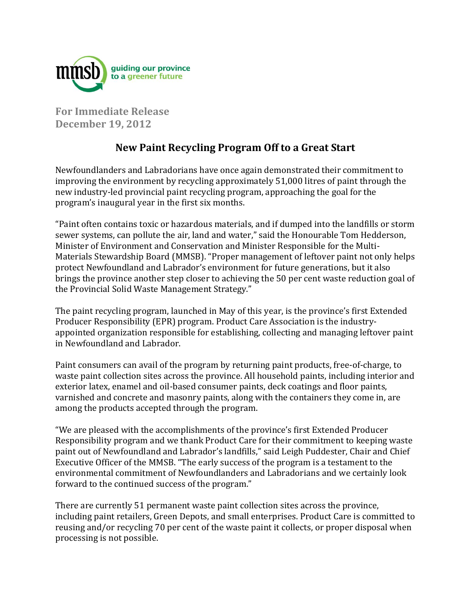

**For Immediate Release December 19, 2012**

## **New Paint Recycling Program Off to a Great Start**

Newfoundlanders and Labradorians have once again demonstrated their commitment to improving the environment by recycling approximately 51,000 litres of paint through the new industry-led provincial paint recycling program, approaching the goal for the program's inaugural year in the first six months.

"Paint often contains toxic or hazardous materials, and if dumped into the landfills or storm sewer systems, can pollute the air, land and water," said the Honourable Tom Hedderson, Minister of Environment and Conservation and Minister Responsible for the Multi-Materials Stewardship Board (MMSB). "Proper management of leftover paint not only helps protect Newfoundland and Labrador's environment for future generations, but it also brings the province another step closer to achieving the 50 per cent waste reduction goal of the Provincial Solid Waste Management Strategy."

The paint recycling program, launched in May of this year, is the province's first Extended Producer Responsibility (EPR) program. Product Care Association is the industryappointed organization responsible for establishing, collecting and managing leftover paint in Newfoundland and Labrador.

Paint consumers can avail of the program by returning paint products, free-of-charge, to waste paint collection sites across the province. All household paints, including interior and exterior latex, enamel and oil-based consumer paints, deck coatings and floor paints, varnished and concrete and masonry paints, along with the containers they come in, are among the products accepted through the program.

"We are pleased with the accomplishments of the province's first Extended Producer Responsibility program and we thank Product Care for their commitment to keeping waste paint out of Newfoundland and Labrador's landfills," said Leigh Puddester, Chair and Chief Executive Officer of the MMSB. "The early success of the program is a testament to the environmental commitment of Newfoundlanders and Labradorians and we certainly look forward to the continued success of the program."

There are currently 51 permanent waste paint collection sites across the province, including paint retailers, Green Depots, and small enterprises. Product Care is committed to reusing and/or recycling 70 per cent of the waste paint it collects, or proper disposal when processing is not possible.